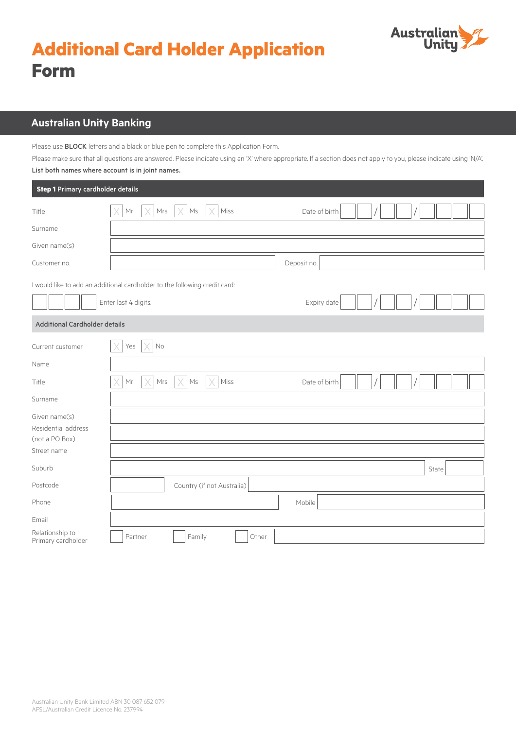

# **Australian Unity Banking**

Please use BLOCK letters and a black or blue pen to complete this Application Form.

Please make sure that all questions are answered. Please indicate using an 'X' where appropriate. If a section does not apply to you, please indicate using 'N/A'. List both names where account is in joint names.

| Step 1 Primary cardholder details     |                                                                            |               |  |  |
|---------------------------------------|----------------------------------------------------------------------------|---------------|--|--|
| Title                                 | Mrs<br>Miss<br>Mr<br>$\mathsf{M}\mathsf{s}$                                | Date of birth |  |  |
| Surname                               |                                                                            |               |  |  |
| Given name(s)                         |                                                                            |               |  |  |
| Customer no.                          |                                                                            | Deposit no.   |  |  |
|                                       | I would like to add an additional cardholder to the following credit card: |               |  |  |
|                                       | Enter last 4 digits.                                                       | Expiry date   |  |  |
| <b>Additional Cardholder details</b>  |                                                                            |               |  |  |
| Current customer                      | Yes<br>X<br>No                                                             |               |  |  |
| Name                                  |                                                                            |               |  |  |
| Title                                 | Mr<br>Mrs<br>Miss<br>Ms                                                    | Date of birth |  |  |
| Surname                               |                                                                            |               |  |  |
| Given name(s)                         |                                                                            |               |  |  |
| Residential address<br>(not a PO Box) |                                                                            |               |  |  |
| Street name                           |                                                                            |               |  |  |
| Suburb                                |                                                                            | State         |  |  |
| Postcode                              | Country (if not Australia)                                                 |               |  |  |
| Phone                                 |                                                                            | Mobile        |  |  |
| Email                                 |                                                                            |               |  |  |
| Relationship to<br>Primary cardholder | Partner<br>Family<br>Other                                                 |               |  |  |